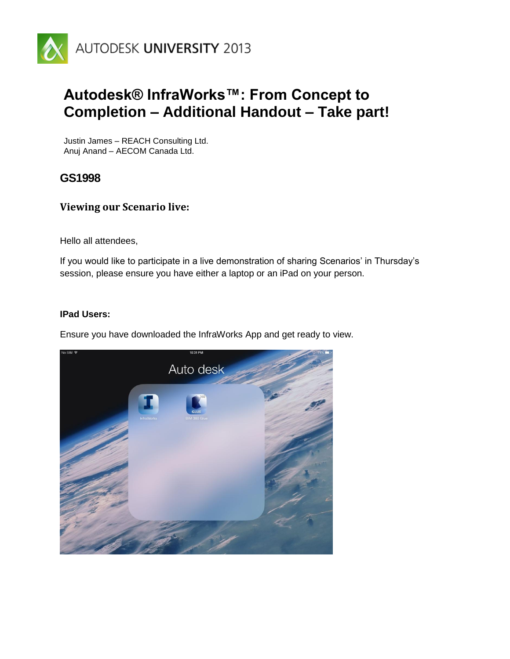

# **Autodesk® InfraWorks™: From Concept to Completion – Additional Handout – Take part!**

Justin James – REACH Consulting Ltd. Anuj Anand – AECOM Canada Ltd.

**GS1998**

### **Viewing our Scenario live:**

Hello all attendees,

If you would like to participate in a live demonstration of sharing Scenarios' in Thursday's session, please ensure you have either a laptop or an iPad on your person.

#### **IPad Users:**

Ensure you have downloaded the InfraWorks App and get ready to view.

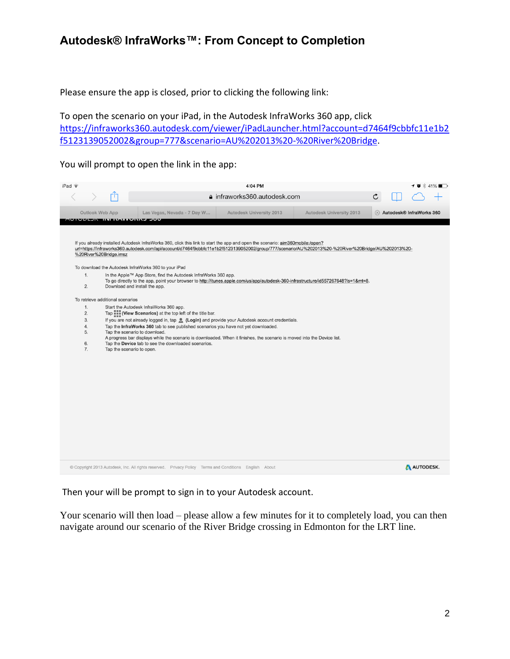## **Autodesk® InfraWorks™: From Concept to Completion**

Please ensure the app is closed, prior to clicking the following link:

To open the scenario on your iPad, in the Autodesk InfraWorks 360 app, click [https://infraworks360.autodesk.com/viewer/iPadLauncher.html?account=d7464f9cbbfc11e1b2](https://infraworks360.autodesk.com/viewer/iPadLauncher.html?account=d7464f9cbbfc11e1b2f5123139052002&group=777&scenario=AU%202013%20-%20River%20Bridge) [f5123139052002&group=777&scenario=AU%202013%20-%20River%20Bridge.](https://infraworks360.autodesk.com/viewer/iPadLauncher.html?account=d7464f9cbbfc11e1b2f5123139052002&group=777&scenario=AU%202013%20-%20River%20Bridge)

You will prompt to open the link in the app:

| iPad ?                                                                                                                                                                                                                                                                                                                                                                                                                                                                                                                                                                                                                                                                                                                                                                                                                                                                                                                                                                                                                                                                                                                                                                                                                                                          |                                                                                                        | 4:04 PM                      |                          |                                             |
|-----------------------------------------------------------------------------------------------------------------------------------------------------------------------------------------------------------------------------------------------------------------------------------------------------------------------------------------------------------------------------------------------------------------------------------------------------------------------------------------------------------------------------------------------------------------------------------------------------------------------------------------------------------------------------------------------------------------------------------------------------------------------------------------------------------------------------------------------------------------------------------------------------------------------------------------------------------------------------------------------------------------------------------------------------------------------------------------------------------------------------------------------------------------------------------------------------------------------------------------------------------------|--------------------------------------------------------------------------------------------------------|------------------------------|--------------------------|---------------------------------------------|
| r۴                                                                                                                                                                                                                                                                                                                                                                                                                                                                                                                                                                                                                                                                                                                                                                                                                                                                                                                                                                                                                                                                                                                                                                                                                                                              |                                                                                                        | a infraworks360.autodesk.com |                          | C                                           |
| Outlook Web App                                                                                                                                                                                                                                                                                                                                                                                                                                                                                                                                                                                                                                                                                                                                                                                                                                                                                                                                                                                                                                                                                                                                                                                                                                                 | Las Vegas, Nevada - 7 Day W                                                                            | Autodesk University 2013     | Autodesk University 2013 | $\otimes$ Autodesk $\otimes$ InfraWorks 360 |
| <u>iv ivis en ini navivumbe evv</u>                                                                                                                                                                                                                                                                                                                                                                                                                                                                                                                                                                                                                                                                                                                                                                                                                                                                                                                                                                                                                                                                                                                                                                                                                             |                                                                                                        |                              |                          |                                             |
| If you already installed Autodesk InfraWorks 360, click this link to start the app and open the scenario: aim360mobile:/open?<br>url=https://infraworks360.autodesk.com/api/account/d7464f9cbbfc11e1b2f5123139052002/group/777/scenario/AU%202013%20-%20River%20Bridge/AU%202013%20-<br>%20River%20Bridge.imsz<br>To download the Autodesk InfraWorks 360 to your iPad<br>1.<br>In the Apple™ App Store, find the Autodesk InfraWorks 360 app.<br>To go directly to the app, point your browser to http://itunes.apple.com/us/app/autodesk-360-infrastructure/id557267648?ls=1&mt=8.<br>2.<br>Download and install the app.<br>To retrieve additional scenarios<br>1.<br>Start the Autodesk InfraWorks 360 app.<br>Tap <b>Fig. (View Scenarios)</b> at the top left of the title bar.<br>2.<br>If you are not already logged in, tap (Login) and provide your Autodesk account credentials.<br>3.<br>Tap the InfraWorks 360 tab to see published scenarios you have not yet downloaded.<br>4.<br>Tap the scenario to download.<br>5.<br>A progress bar displays while the scenario is downloaded. When it finishes, the scenario is moved into the Device list.<br>6.<br>Tap the Device tab to see the downloaded scenarios.<br>7.<br>Tap the scenario to open. |                                                                                                        |                              |                          |                                             |
|                                                                                                                                                                                                                                                                                                                                                                                                                                                                                                                                                                                                                                                                                                                                                                                                                                                                                                                                                                                                                                                                                                                                                                                                                                                                 | © Copyright 2013 Autodesk, Inc. All rights reserved. Privacy Policy Terms and Conditions English About |                              |                          | AUTODESK.                                   |

Then your will be prompt to sign in to your Autodesk account.

Your scenario will then load – please allow a few minutes for it to completely load, you can then navigate around our scenario of the River Bridge crossing in Edmonton for the LRT line.